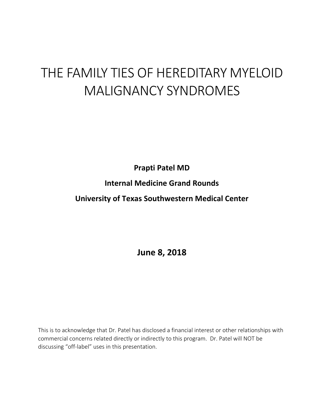# THE FAMILY TIES OF HEREDITARY MYELOID MALIGNANCY SYNDROMES

**Prapti Patel MD Internal Medicine Grand Rounds**

**University of Texas Southwestern Medical Center**

**June 8, 2018**

This is to acknowledge that Dr. Patel has disclosed a financial interest or other relationships with commercial concerns related directly or indirectly to this program. Dr. Patel will NOT be discussing "off-label" uses in this presentation.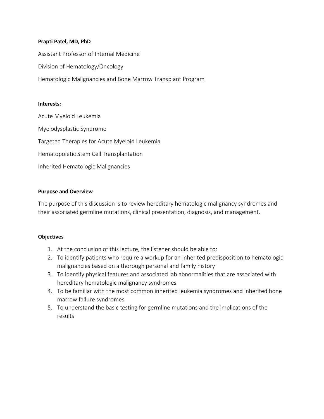## **Prapti Patel, MD, PhD**

Assistant Professor of Internal Medicine Division of Hematology/Oncology Hematologic Malignancies and Bone Marrow Transplant Program

#### **Interests:**

Acute Myeloid Leukemia Myelodysplastic Syndrome Targeted Therapies for Acute Myeloid Leukemia Hematopoietic Stem Cell Transplantation Inherited Hematologic Malignancies

## **Purpose and Overview**

The purpose of this discussion is to review hereditary hematologic malignancy syndromes and their associated germline mutations, clinical presentation, diagnosis, and management.

## **Objectives**

- 1. At the conclusion of this lecture, the listener should be able to:
- 2. To identify patients who require a workup for an inherited predisposition to hematologic malignancies based on a thorough personal and family history
- 3. To identify physical features and associated lab abnormalities that are associated with hereditary hematologic malignancy syndromes
- 4. To be familiar with the most common inherited leukemia syndromes and inherited bone marrow failure syndromes
- 5. To understand the basic testing for germline mutations and the implications of the results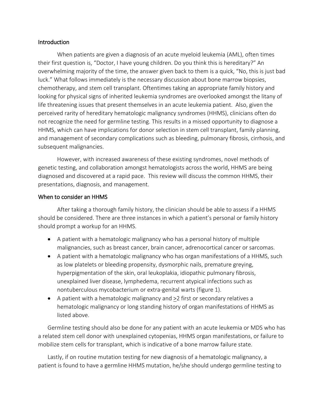## **Introduction**

When patients are given a diagnosis of an acute myeloid leukemia (AML), often times their first question is, "Doctor, I have young children. Do you think this is hereditary?" An overwhelming majority of the time, the answer given back to them is a quick, "No, this is just bad luck." What follows immediately is the necessary discussion about bone marrow biopsies, chemotherapy, and stem cell transplant. Oftentimes taking an appropriate family history and looking for physical signs of inherited leukemia syndromes are overlooked amongst the litany of life threatening issues that present themselves in an acute leukemia patient. Also, given the perceived rarity of hereditary hematologic malignancy syndromes (HHMS), clinicians often do not recognize the need for germline testing. This results in a missed opportunity to diagnose a HHMS, which can have implications for donor selection in stem cell transplant, family planning, and management of secondary complications such as bleeding, pulmonary fibrosis, cirrhosis, and subsequent malignancies.

However, with increased awareness of these existing syndromes, novel methods of genetic testing, and collaboration amongst hematologists across the world, HHMS are being diagnosed and discovered at a rapid pace. This review will discuss the common HHMS, their presentations, diagnosis, and management.

## When to consider an HHMS

After taking a thorough family history, the clinician should be able to assess if a HHMS should be considered. There are three instances in which a patient's personal or family history should prompt a workup for an HHMS.

- A patient with a hematologic malignancy who has a personal history of multiple malignancies, such as breast cancer, brain cancer, adrenocortical cancer or sarcomas.
- A patient with a hematologic malignancy who has organ manifestations of a HHMS, such as low platelets or bleeding propensity, dysmorphic nails, premature greying, hyperpigmentation of the skin, oral leukoplakia, idiopathic pulmonary fibrosis, unexplained liver disease, lymphedema, recurrent atypical infections such as nontuberculous mycobacterium or extra-genital warts (figure 1).
- A patient with a hematologic malignancy and >2 first or secondary relatives a hematologic malignancy or long standing history of organ manifestations of HHMS as listed above.

Germline testing should also be done for any patient with an acute leukemia or MDS who has a related stem cell donor with unexplained cytopenias, HHMS organ manifestations, or failure to mobilize stem cells for transplant, which is indicative of a bone marrow failure state.

Lastly, if on routine mutation testing for new diagnosis of a hematologic malignancy, a patient is found to have a germline HHMS mutation, he/she should undergo germline testing to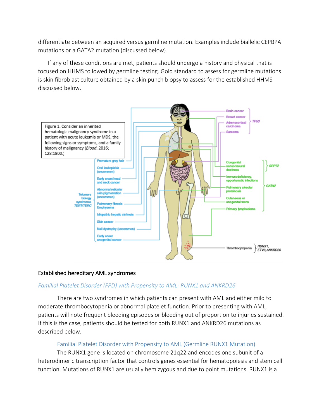differentiate between an acquired versus germline mutation. Examples include biallelic CEPBPA mutations or a GATA2 mutation (discussed below).

If any of these conditions are met, patients should undergo a history and physical that is focused on HHMS followed by germline testing. Gold standard to assess for germline mutations is skin fibroblast culture obtained by a skin punch biopsy to assess for the established HHMS discussed below.



# Established hereditary AML syndromes

## *Familial Platelet Disorder (FPD) with Propensity to AML: RUNX1 and ANKRD26*

There are two syndromes in which patients can present with AML and either mild to moderate thrombocytopenia or abnormal platelet function. Prior to presenting with AML, patients will note frequent bleeding episodes or bleeding out of proportion to injuries sustained. If this is the case, patients should be tested for both RUNX1 and ANKRD26 mutations as described below.

## Familial Platelet Disorder with Propensity to AML (Germline RUNX1 Mutation)

The RUNX1 gene is located on chromosome 21q22 and encodes one subunit of a heterodimeric transcription factor that controls genes essential for hematopoiesis and stem cell function. Mutations of RUNX1 are usually hemizygous and due to point mutations. RUNX1 is a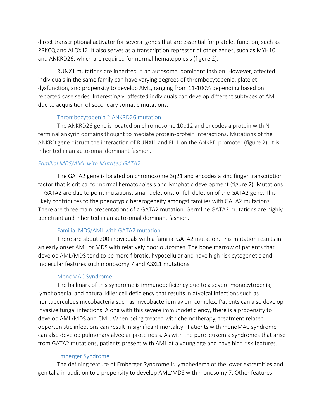direct transcriptional activator for several genes that are essential for platelet function, such as PRKCQ and ALOX12. It also serves as a transcription repressor of other genes, such as MYH10 and ANKRD26, which are required for normal hematopoiesis (figure 2).

RUNX1 mutations are inherited in an autosomal dominant fashion. However, affected individuals in the same family can have varying degrees of thrombocytopenia, platelet dysfunction, and propensity to develop AML, ranging from 11-100% depending based on reported case series. Interestingly, affected individuals can develop different subtypes of AML due to acquisition of secondary somatic mutations.

# Thrombocytopenia 2 ANKRD26 mutation

The ANKRD26 gene is located on chromosome 10p12 and encodes a protein with Nterminal ankyrin domains thought to mediate protein-protein interactions. Mutations of the ANKRD gene disrupt the interaction of RUNXI1 and FLI1 on the ANKRD promoter (figure 2). It is inherited in an autosomal dominant fashion.

# *Familial MDS/AML with Mutated GATA2*

The GATA2 gene is located on chromosome 3q21 and encodes a zinc finger transcription factor that is critical for normal hematopoiesis and lymphatic development (figure 2). Mutations in GATA2 are due to point mutations, small deletions, or full deletion of the GATA2 gene. This likely contributes to the phenotypic heterogeneity amongst families with GATA2 mutations. There are three main presentations of a GATA2 mutation. Germline GATA2 mutations are highly penetrant and inherited in an autosomal dominant fashion.

# Familial MDS/AML with GATA2 mutation.

There are about 200 individuals with a familial GATA2 mutation. This mutation results in an early onset AML or MDS with relatively poor outcomes. The bone marrow of patients that develop AML/MDS tend to be more fibrotic, hypocellular and have high risk cytogenetic and molecular features such monosomy 7 and ASXL1 mutations.

# MonoMAC Syndrome

The hallmark of this syndrome is immunodeficiency due to a severe monocytopenia, lymphopenia, and natural killer cell deficiency that results in atypical infections such as nontuberculous mycobacteria such as mycobacterium avium complex. Patients can also develop invasive fungal infections. Along with this severe immunodeficiency, there is a propensity to develop AML/MDS and CML. When being treated with chemotherapy, treatment related opportunistic infections can result in significant mortality. Patients with monoMAC syndrome can also develop pulmonary alveolar proteinosis. As with the pure leukemia syndromes that arise from GATA2 mutations, patients present with AML at a young age and have high risk features.

# Emberger Syndrome

The defining feature of Emberger Syndrome is lymphedema of the lower extremities and genitalia in addition to a propensity to develop AML/MDS with monosomy 7. Other features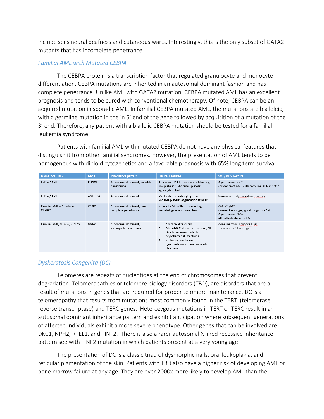include sensineural deafness and cutaneous warts. Interestingly, this is the only subset of GATA2 mutants that has incomplete penetrance.

## *Familial AML with Mutated CEBPA*

The CEBPA protein is a transcription factor that regulated granulocyte and monocyte differentiation. CEBPA mutations are inherited in an autosomal dominant fashion and has complete penetrance. Unlike AML with GATA2 mutation, CEBPA mutated AML has an excellent prognosis and tends to be cured with conventional chemotherapy. Of note, CEBPA can be an acquired mutation in sporadic AML. In familial CEBPA mutated AML, the mutations are bialleleic, with a germline mutation in the in 5' end of the gene followed by acquisition of a mutation of the 3' end. Therefore, any patient with a biallelic CEBPA mutation should be tested for a familial leukemia syndrome.

Patients with familial AML with mutated CEBPA do not have any physical features that distinguish it from other familial syndromes. However, the presentation of AML tends to be homogenous with diploid cytogenetics and a favorable prognosis with 65% long term survival

| <b>Name of HHMS</b>               | <b>Gene</b> | <b>Inheritance pattern</b>                      | <b>Clinical Features</b>                                                                                                                                                                                | <b>AML/MDS Features</b>                                                                                   |
|-----------------------------------|-------------|-------------------------------------------------|---------------------------------------------------------------------------------------------------------------------------------------------------------------------------------------------------------|-----------------------------------------------------------------------------------------------------------|
| FPD w/ AML                        | RUNX1       | Autosomal dominant, variable<br>penetrance      | IF present: Mild to moderate bleeding,<br>low platelets, abnormal platelet<br>aggregation test                                                                                                          | -Age of onset: 6-76<br>-Incidence of AML with germline RUNX1: 40%                                         |
| FPD w/ AML                        | ANKRD26     | Autosomal dominant                              | Moderate thrombocytopenia<br>Variable platelet aggregation studies                                                                                                                                      | Marrow with dysmegakaryopoiesis                                                                           |
| Familial AML w/ mutated<br>CEPBPA | CEBPA       | Autosomal dominant, near<br>complete penetrance | Isolated AML without preceding<br>hematological abnormalities                                                                                                                                           | -FAB $M1/M2$<br>-normal karyotype, good prognosis AML<br>-Age of onset: 2-59<br>-all patients develop AML |
| Familial AML/MDS w/ GATA2         | GATA2       | Autosomal dominant,<br>incomplete penetrance    | No clinical features<br>1.<br>MonoMAC: decreased monos, NK,<br>2.<br>B cells, recurrent infections,<br>mycobacterial infections<br>Emberger Syndrome:<br>3.<br>lymphedema, cutaneous warts,<br>deafness | -bone marrow is hypocellular<br>-monosomy 7 karyotype                                                     |

# *Dyskeratosis Congenita (DC)*

Telomeres are repeats of nucleotides at the end of chromosomes that prevent degradation. Telomeropathies or telomere biology disorders (TBD), are disorders that are a result of mutations in genes that are required for proper telomere maintenance. DC is a telomeropathy that results from mutations most commonly found in the TERT (telomerase reverse transcriptase) and TERC genes. Heterozygous mutations in TERT or TERC result in an autosomal dominant inheritance pattern and exhibit anticipation where subsequent generations of affected individuals exhibit a more severe phenotype. Other genes that can be involved are DKC1, NPH2, RTEL1, and TINF2. There is also a rarer autosomal X lined recessive inheritance pattern see with TINF2 mutation in which patients present at a very young age.

The presentation of DC is a classic triad of dysmorphic nails, oral leukoplakia, and reticular pigmentation of the skin. Patients with TBD also have a higher risk of developing AML or bone marrow failure at any age. They are over 2000x more likely to develop AML than the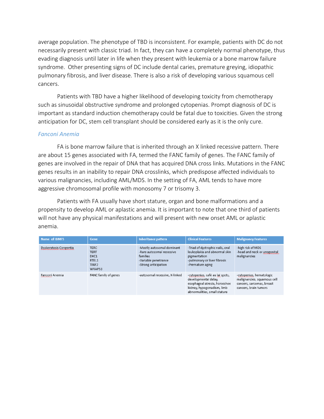average population. The phenotype of TBD is inconsistent. For example, patients with DC do not necessarily present with classic triad. In fact, they can have a completely normal phenotype, thus evading diagnosis until later in life when they present with leukemia or a bone marrow failure syndrome. Other presenting signs of DC include dental caries, premature greying, idiopathic pulmonary fibrosis, and liver disease. There is also a risk of developing various squamous cell cancers.

Patients with TBD have a higher likelihood of developing toxicity from chemotherapy such as sinusoidal obstructive syndrome and prolonged cytopenias. Prompt diagnosis of DC is important as standard induction chemotherapy could be fatal due to toxicities. Given the strong anticipation for DC, stem cell transplant should be considered early as it is the only cure.

## *Fanconi Anemia*

FA is bone marrow failure that is inherited through an X linked recessive pattern. There are about 15 genes associated with FA, termed the FANC family of genes. The FANC family of genes are involved in the repair of DNA that has acquired DNA cross links. Mutations in the FANC genes results in an inability to repair DNA crosslinks, which predispose affected individuals to various malignancies, including AML/MDS. In the setting of FA, AML tends to have more aggressive chromosomal profile with monosomy 7 or trisomy 3.

Patients with FA usually have short stature, organ and bone malformations and a propensity to develop AML or aplastic anemia. It is important to note that one third of patients will not have any physical manifestations and will present with new onset AML or aplastic anemia.

| Name of IBMFS          | <b>Gene</b>                                                                | <b>Inheritance pattern</b>                                                                                          | <b>Clinical Features</b>                                                                                                                               | <b>Malignancy Features</b>                                                                                    |
|------------------------|----------------------------------------------------------------------------|---------------------------------------------------------------------------------------------------------------------|--------------------------------------------------------------------------------------------------------------------------------------------------------|---------------------------------------------------------------------------------------------------------------|
| Dyskeratosis Congentia | <b>TERC</b><br><b>TERT</b><br>DKC1<br>RTEL1<br>TINF <sub>2</sub><br>WRAP53 | -Mostly autosomal dominant<br>-Rare autosomal recessive<br>families<br>-Variable penetrance<br>-Strong anticipation | -Triad of dystrophic nails, oral<br>leukoplakia and abnormal skin<br>pigmentation<br>-pulmonary or liver fibrosis<br>-Premature aging                  | -high risk of MDS<br>-head and neck or anogenital<br>malignancies                                             |
| Fanconi Anemia         | FANC family of genes                                                       | -autosomal recessive, X-linked                                                                                      | -cytopenias, café au lai spots,<br>developmental delay,<br>esophageal atresia, horseshoe<br>kidney, hypogonadism, limb<br>abnormalities, small stature | -cytopenias, hematologic<br>malignancies, squamous cell<br>cancers, sarcomas, breast<br>cancers, brain tumors |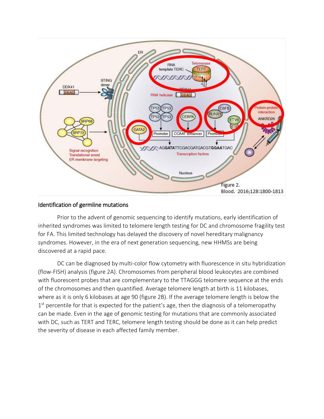

## Identification of germline mutations

Prior to the advent of genomic sequencing to identify mutations, early identification of inherited syndromes was limited to telomere length testing for DC and chromosome fragility test for FA. This limited technology has delayed the discovery of novel hereditary malignancy syndromes. However, in the era of next generation sequencing, new HHMSs are being discovered at a rapid pace.

DC can be diagnosed by multi-color flow cytometry with fluorescence in situ hybridization (flow-FISH) analysis (figure 2A). Chromosomes from peripheral blood leukocytes are combined with fluorescent probes that are complementary to the TTAGGG telomere sequence at the ends of the chromosomes and then quantified. Average telomere length at birth is 11 kilobases, where as it is only 6 kilobases at age 90 (figure 2B). If the average telomere length is below the  $1<sup>st</sup>$  percentile for that is expected for the patient's age, then the diagnosis of a telomeropathy can be made. Even in the age of genomic testing for mutations that are commonly associated with DC, such as TERT and TERC, telomere length testing should be done as it can help predict the severity of disease in each affected family member.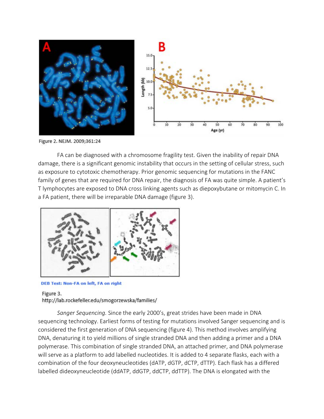

Figure 2. NEJM. 2009;361:24

FA can be diagnosed with a chromosome fragility test. Given the inability of repair DNA damage, there is a significant genomic instability that occurs in the setting of cellular stress, such as exposure to cytotoxic chemotherapy. Prior genomic sequencing for mutations in the FANC family of genes that are required for DNA repair, the diagnosis of FA was quite simple. A patient's T lymphocytes are exposed to DNA cross linking agents such as diepoxybutane or mitomycin C. In a FA patient, there will be irreparable DNA damage (figure 3).



DEB Test: Non-FA on left, FA on right

## Figure 3. http://lab.rockefeller.edu/smogorzewska/families/

*Sanger Sequencing.* Since the early 2000's, great strides have been made in DNA sequencing technology. Earliest forms of testing for mutations involved Sanger sequencing and is considered the first generation of DNA sequencing (figure 4). This method involves amplifying DNA, denaturing it to yield millions of single stranded DNA and then adding a primer and a DNA polymerase. This combination of single stranded DNA, an attached primer, and DNA polymerase will serve as a platform to add labelled nucleotides. It is added to 4 separate flasks, each with a combination of the four deoxyneucleotides (dATP, dGTP, dCTP, dTTP). Each flask has a differed labelled dideoxyneucleotide (ddATP, ddGTP, ddCTP, ddTTP). The DNA is elongated with the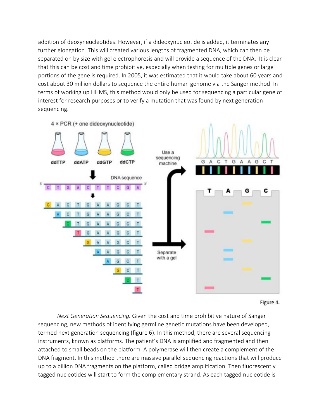addition of deoxyneucleotides. However, if a dideoxynucleotide is added, it terminates any further elongation. This will created various lengths of fragmented DNA, which can then be separated on by size with gel electrophoresis and will provide a sequence of the DNA. It is clear that this can be cost and time prohibitive, especially when testing for multiple genes or large portions of the gene is required. In 2005, it was estimated that it would take about 60 years and cost about 30 million dollars to sequence the entire human genome via the Sanger method. In terms of working up HHMS, this method would only be used for sequencing a particular gene of interest for research purposes or to verify a mutation that was found by next generation sequencing.



Figure 4.

*Next Generation Sequencing.* Given the cost and time prohibitive nature of Sanger sequencing, new methods of identifying germline genetic mutations have been developed, termed next generation sequencing (figure 6). In this method, there are several sequencing instruments, known as platforms. The patient's DNA is amplified and fragmented and then attached to small beads on the platform. A polymerase will then create a complement of the DNA fragment. In this method there are massive parallel sequencing reactions that will produce up to a billion DNA fragments on the platform, called bridge amplification. Then fluorescently tagged nucleotides will start to form the complementary strand. As each tagged nucleotide is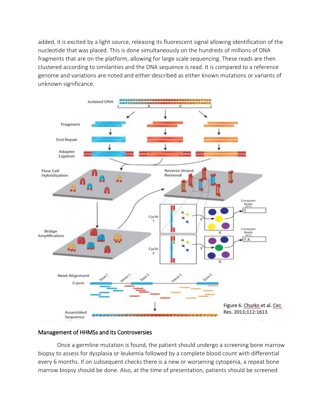added, it is excited by a light source, releasing its fluorescent signal allowing identification of the nucleotide that was placed. This is done simultaneously on the hundreds of millions of DNA fragments that are on the platform, allowing for large scale sequencing. These reads are then clustered according to similarities and the DNA sequence is read. It is compared to a reference genome and variations are noted and either described as either known mutations or variants of unknown significance.



## Management of HHMSs and its Controversies

 Once a germline mutation is found, the patient should undergo a screening bone marrow biopsy to assess for dysplasia or leukemia followed by a complete blood count with differential every 6 months. If on subsequent checks there is a new or worsening cytopenia, a repeat bone marrow biopsy should be done. Also, at the time of presentation, patients should be screened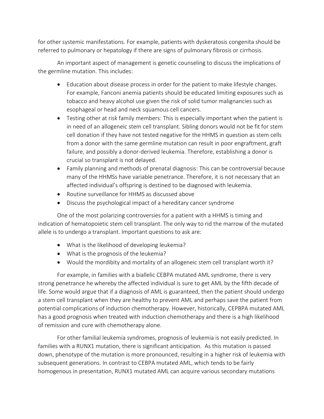for other systemic manifestations. For example, patients with dyskeratosis congenita should be referred to pulmonary or hepatology if there are signs of pulmonary fibrosis or cirrhosis.

An important aspect of management is genetic counseling to discuss the implications of the germline mutation. This includes:

- Education about disease process in order for the patient to make lifestyle changes. For example, Fanconi anemia patients should be educated limiting exposures such as tobacco and heavy alcohol use given the risk of solid tumor malignancies such as esophageal or head and neck squamous cell cancers.
- Testing other at risk family members: This is especially important when the patient is in need of an allogeneic stem cell transplant. Sibling donors would not be fit for stem cell donation if they have not tested negative for the HHMS in question as stem cells from a donor with the same germline mutation can result in poor engraftment, graft failure, and possibly a donor-derived leukemia. Therefore, establishing a donor is crucial so transplant is not delayed.
- Family planning and methods of prenatal diagnosis: This can be controversial because many of the HHMSs have variable penetrance. Therefore, it is not necessary that an affected individual's offspring is destined to be diagnosed with leukemia.
- Routine surveillance for HHMS as discussed above
- Discuss the psychological impact of a hereditary cancer syndrome

One of the most polarizing controversies for a patient with a HHMS is timing and indication of hematopoietic stem cell transplant. The only way to rid the marrow of the mutated allele is to undergo a transplant. Important questions to ask are:

- What is the likelihood of developing leukemia?
- What is the prognosis of the leukemia?
- Would the mordibity and mortality of an allogeneic stem cell transplant worth it?

For example, in families with a biallelic CEBPA mutated AML syndrome, there is very strong penetrance he whereby the affected individual is sure to get AML by the fifth decade of life. Some would argue that if a diagnosis of AML is guaranteed, then the patient should undergo a stem cell transplant when they are healthy to prevent AML and perhaps save the patient from potential complications of induction chemotherapy. However, historically, CEPBPA mutated AML has a good prognosis when treated with induction chemotherapy and there is a high likelihood of remission and cure with chemotherapy alone.

For other familial leukemia syndromes, prognosis of leukemia is not easily predicted. In families with a RUNX1 mutation, there is significant anticipation. As this mutation is passed down, phenotype of the mutation is more pronounced, resulting in a higher risk of leukemia with subsequent generations. In contrast to CEBPA mutated AML, which tends to be fairly homogenous in presentation, RUNX1 mutated AML can acquire various secondary mutations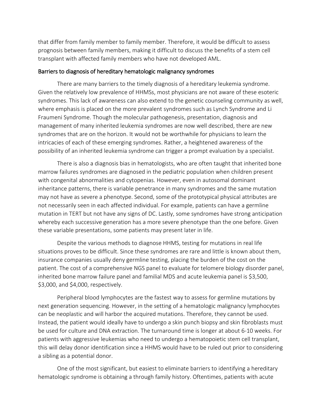that differ from family member to family member. Therefore, it would be difficult to assess prognosis between family members, making it difficult to discuss the benefits of a stem cell transplant with affected family members who have not developed AML.

#### Barriers to diagnosis of hereditary hematologic malignancy syndromes

There are many barriers to the timely diagnosis of a hereditary leukemia syndrome. Given the relatively low prevalence of HHMSs, most physicians are not aware of these esoteric syndromes. This lack of awareness can also extend to the genetic counseling community as well, where emphasis is placed on the more prevalent syndromes such as Lynch Syndrome and Li Fraumeni Syndrome. Though the molecular pathogenesis, presentation, diagnosis and management of many inherited leukemia syndromes are now well described, there are new syndromes that are on the horizon. It would not be worthwhile for physicians to learn the intricacies of each of these emerging syndromes. Rather, a heightened awareness of the possibility of an inherited leukemia syndrome can trigger a prompt evaluation by a specialist.

There is also a diagnosis bias in hematologists, who are often taught that inherited bone marrow failures syndromes are diagnosed in the pediatric population when children present with congenital abnormalities and cytopenias. However, even in autosomal dominant inheritance patterns, there is variable penetrance in many syndromes and the same mutation may not have as severe a phenotype. Second, some of the prototypical physical attributes are not necessarily seen in each affected individual. For example, patients can have a germline mutation in TERT but not have any signs of DC. Lastly, some syndromes have strong anticipation whereby each successive generation has a more severe phenotype than the one before. Given these variable presentations, some patients may present later in life.

Despite the various methods to diagnose HHMS, testing for mutations in real life situations proves to be difficult. Since these syndromes are rare and little is known about them, insurance companies usually deny germline testing, placing the burden of the cost on the patient. The cost of a comprehensive NGS panel to evaluate for telomere biology disorder panel, inherited bone marrow failure panel and familial MDS and acute leukemia panel is \$3,500, \$3,000, and \$4,000, respectively.

Peripheral blood lymphocytes are the fastest way to assess for germline mutations by next generation sequencing. However, in the setting of a hematologic malignancy lymphocytes can be neoplastic and will harbor the acquired mutations. Therefore, they cannot be used. Instead, the patient would ideally have to undergo a skin punch biopsy and skin fibroblasts must be used for culture and DNA extraction. The turnaround time is longer at about 6-10 weeks. For patients with aggressive leukemias who need to undergo a hematopoietic stem cell transplant, this will delay donor identification since a HHMS would have to be ruled out prior to considering a sibling as a potential donor.

One of the most significant, but easiest to eliminate barriers to identifying a hereditary hematologic syndrome is obtaining a through family history. Oftentimes, patients with acute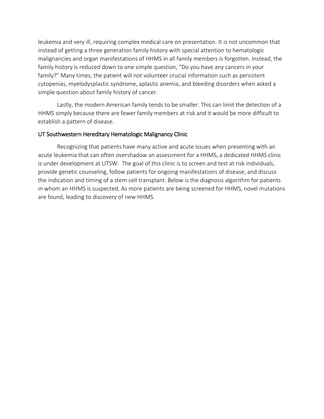leukemia and very ill, requiring complex medical care on presentation. It is not uncommon that instead of getting a three generation family history with special attention to hematologic malignancies and organ manifestations of HHMS in all family members is forgotten. Instead, the family history is reduced down to one simple question, "Do you have any cancers in your family?" Many times, the patient will not volunteer crucial information such as persistent cytopenias, myelodysplastic syndrome, aplastic anemia, and bleeding disorders when asked a simple question about family history of cancer.

Lastly, the modern American family tends to be smaller. This can limit the detection of a HHMS simply because there are fewer family members at risk and it would be more difficult to establish a pattern of disease.

## UT Southwestern Hereditary Hematologic Malignancy Clinic

Recognizing that patients have many active and acute issues when presenting with an acute leukemia that can often overshadow an assessment for a HHMS, a dedicated HHMS clinic is under development at UTSW. The goal of this clinic is to screen and test at risk individuals, provide genetic counseling, follow patients for ongoing manifestations of disease, and discuss the indication and timing of a stem cell transplant. Below is the diagnosis algorithm for patients in whom an HHMS is suspected. As more patients are being screened for HHMS, novel mutations are found, leading to discovery of new HHMS.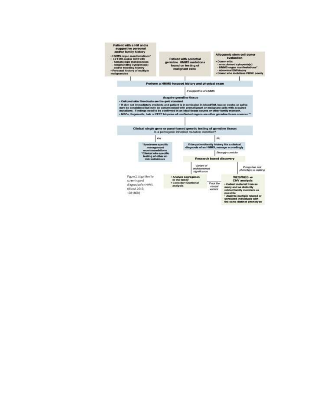